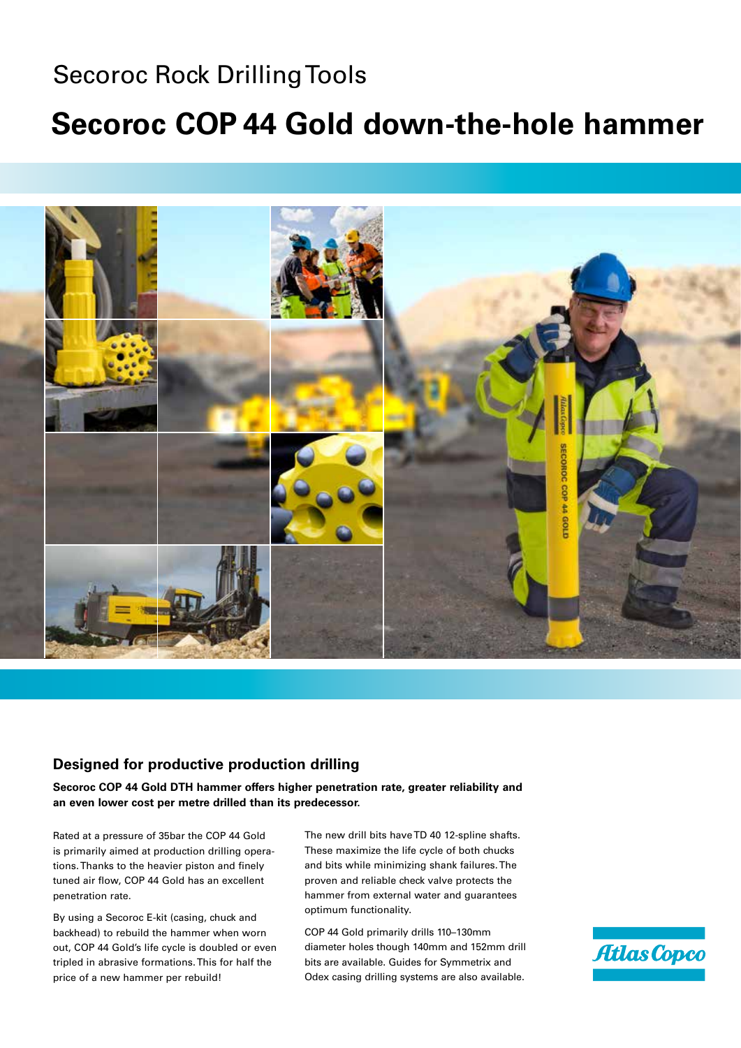## Secoroc Rock Drilling Tools

## **Secoroc COP 44 Gold down-the-hole hammer**



## **Designed for productive production drilling**

**Secoroc COP 44 Gold DTH hammer offers higher penetration rate, greater reliability and an even lower cost per metre drilled than its predecessor.** 

Rated at a pressure of 35bar the COP 44 Gold is primarily aimed at production drilling operations. Thanks to the heavier piston and finely tuned air flow, COP 44 Gold has an excellent penetration rate.

By using a Secoroc E-kit (casing, chuck and backhead) to rebuild the hammer when worn out, COP 44 Gold's life cycle is doubled or even tripled in abrasive formations. This for half the price of a new hammer per rebuild!

The new drill bits have TD 40 12-spline shafts. These maximize the life cycle of both chucks and bits while minimizing shank failures. The proven and reliable check valve protects the hammer from external water and guarantees optimum functionality.

COP 44 Gold primarily drills 110–130mm diameter holes though 140mm and 152mm drill bits are available. Guides for Symmetrix and Odex casing drilling systems are also available.